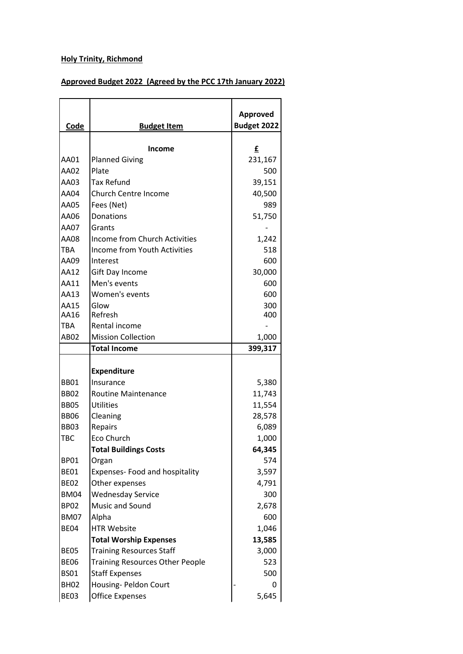## **Holy Trinity, Richmond**

## **Approved Budget 2022 (Agreed by the PCC 17th January 2022)**

| Code        | <b>Budget Item</b>                     | Approved<br><b>Budget 2022</b> |
|-------------|----------------------------------------|--------------------------------|
|             |                                        |                                |
|             | Income                                 | £                              |
| AA01        | <b>Planned Giving</b>                  | 231,167                        |
| AA02        | Plate                                  | 500                            |
| AA03        | <b>Tax Refund</b>                      | 39,151                         |
| <b>AA04</b> | <b>Church Centre Income</b>            | 40,500                         |
| AA05        | Fees (Net)                             | 989                            |
| AA06        | Donations                              | 51,750                         |
| AA07        | Grants                                 |                                |
| AA08        | Income from Church Activities          | 1,242                          |
| <b>TBA</b>  | <b>Income from Youth Activities</b>    | 518                            |
| AA09        | Interest                               | 600                            |
| AA12        | Gift Day Income                        | 30,000                         |
| AA11        | Men's events                           | 600                            |
| AA13        | Women's events                         | 600                            |
| AA15        | Glow                                   | 300                            |
| AA16        | Refresh                                | 400                            |
| <b>TBA</b>  | Rental income                          |                                |
| AB02        | <b>Mission Collection</b>              | 1,000                          |
|             | <b>Total Income</b>                    | 399,317                        |
|             | <b>Expenditure</b>                     |                                |
| <b>BB01</b> | Insurance                              | 5,380                          |
| <b>BB02</b> | <b>Routine Maintenance</b>             | 11,743                         |
| <b>BB05</b> | <b>Utilities</b>                       | 11,554                         |
| <b>BB06</b> | Cleaning                               | 28,578                         |
| <b>BB03</b> | Repairs                                | 6,089                          |
| <b>TBC</b>  | Eco Church                             | 1,000                          |
|             | <b>Total Buildings Costs</b>           | 64,345                         |
| <b>BP01</b> | Organ                                  | 574                            |
| <b>BE01</b> | Expenses- Food and hospitality         | 3,597                          |
| <b>BE02</b> | Other expenses                         | 4,791                          |
| <b>BM04</b> | <b>Wednesday Service</b>               | 300                            |
| <b>BP02</b> | Music and Sound                        | 2,678                          |
| <b>BM07</b> | Alpha                                  | 600                            |
| <b>BE04</b> | <b>HTR Website</b>                     | 1,046                          |
|             |                                        |                                |
|             | <b>Total Worship Expenses</b>          | 13,585                         |
| <b>BE05</b> | <b>Training Resources Staff</b>        | 3,000                          |
| <b>BE06</b> | <b>Training Resources Other People</b> | 523                            |
| <b>BS01</b> | <b>Staff Expenses</b>                  | 500                            |
| <b>BH02</b> | Housing- Peldon Court                  | 0                              |
| BE03        | <b>Office Expenses</b>                 | 5,645                          |